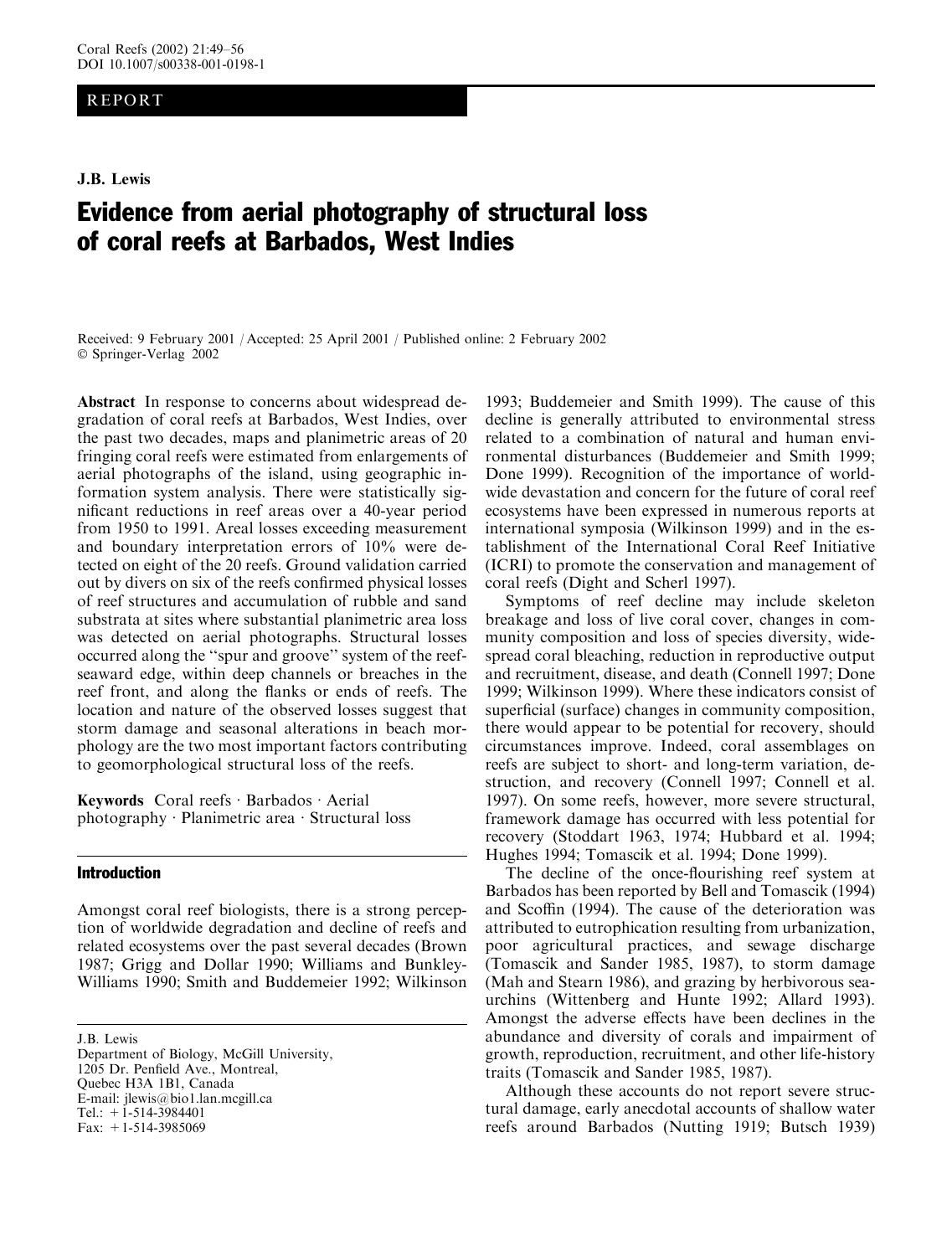# REPORT

J.B. Lewis

# Evidence from aerial photography of structural loss of coral reefs at Barbados, West Indies

Received: 9 February 2001 / Accepted: 25 April 2001 / Published online: 2 February 2002 Springer-Verlag 2002

Abstract In response to concerns about widespread degradation of coral reefs at Barbados, West Indies, over the past two decades, maps and planimetric areas of 20 fringing coral reefs were estimated from enlargements of aerial photographs of the island, using geographic information system analysis. There were statistically significant reductions in reef areas over a 40-year period from 1950 to 1991. Areal losses exceeding measurement and boundary interpretation errors of 10% were detected on eight of the 20 reefs. Ground validation carried out by divers on six of the reefs confirmed physical losses of reef structures and accumulation of rubble and sand substrata at sites where substantial planimetric area loss was detected on aerial photographs. Structural losses occurred along the ''spur and groove'' system of the reefseaward edge, within deep channels or breaches in the reef front, and along the flanks or ends of reefs. The location and nature of the observed losses suggest that storm damage and seasonal alterations in beach morphology are the two most important factors contributing to geomorphological structural loss of the reefs.

Keywords Coral reefs  $\cdot$  Barbados  $\cdot$  Aerial photography  $\cdot$  Planimetric area  $\cdot$  Structural loss

# Introduction

Amongst coral reef biologists, there is a strong perception of worldwide degradation and decline of reefs and related ecosystems over the past several decades (Brown 1987; Grigg and Dollar 1990; Williams and Bunkley-Williams 1990; Smith and Buddemeier 1992; Wilkinson

J.B. Lewis Department of Biology, McGill University, 1205 Dr. Penfield Ave., Montreal, Quebec H3A 1B1, Canada E-mail: jlewis@bio1.lan.mcgill.ca Tel.: +1-514-3984401 Fax: +1-514-3985069

1993; Buddemeier and Smith 1999). The cause of this decline is generally attributed to environmental stress related to a combination of natural and human environmental disturbances (Buddemeier and Smith 1999; Done 1999). Recognition of the importance of worldwide devastation and concern for the future of coral reef ecosystems have been expressed in numerous reports at international symposia (Wilkinson 1999) and in the establishment of the International Coral Reef Initiative (ICRI) to promote the conservation and management of coral reefs (Dight and Scherl 1997).

Symptoms of reef decline may include skeleton breakage and loss of live coral cover, changes in community composition and loss of species diversity, widespread coral bleaching, reduction in reproductive output and recruitment, disease, and death (Connell 1997; Done 1999; Wilkinson 1999). Where these indicators consist of superficial (surface) changes in community composition, there would appear to be potential for recovery, should circumstances improve. Indeed, coral assemblages on reefs are subject to short- and long-term variation, destruction, and recovery (Connell 1997; Connell et al. 1997). On some reefs, however, more severe structural, framework damage has occurred with less potential for recovery (Stoddart 1963, 1974; Hubbard et al. 1994; Hughes 1994; Tomascik et al. 1994; Done 1999).

The decline of the once-flourishing reef system at Barbados has been reported by Bell and Tomascik (1994) and Scoffin (1994). The cause of the deterioration was attributed to eutrophication resulting from urbanization, poor agricultural practices, and sewage discharge (Tomascik and Sander 1985, 1987), to storm damage (Mah and Stearn 1986), and grazing by herbivorous seaurchins (Wittenberg and Hunte 1992; Allard 1993). Amongst the adverse effects have been declines in the abundance and diversity of corals and impairment of growth, reproduction, recruitment, and other life-history traits (Tomascik and Sander 1985, 1987).

Although these accounts do not report severe structural damage, early anecdotal accounts of shallow water reefs around Barbados (Nutting 1919; Butsch 1939)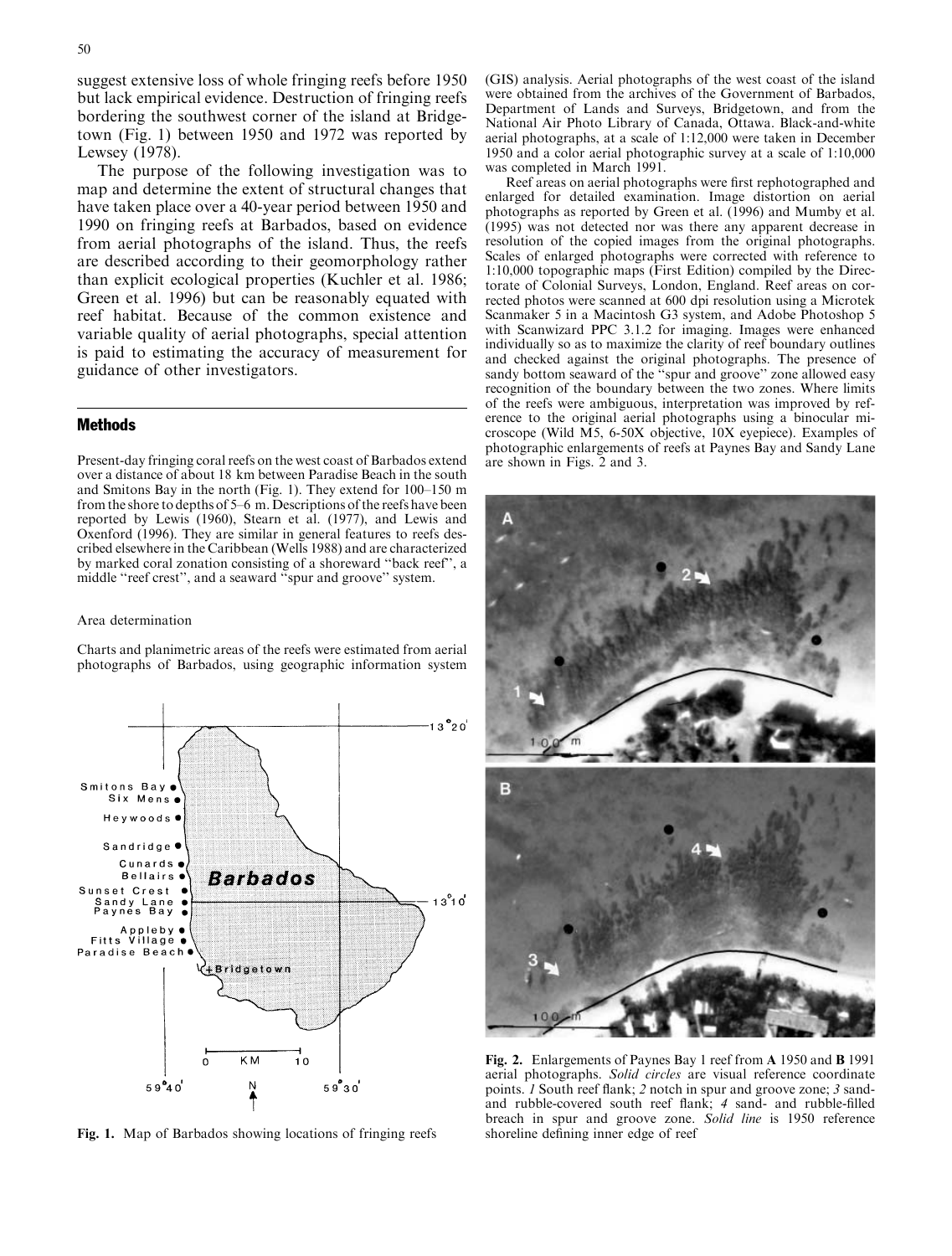suggest extensive loss of whole fringing reefs before 1950 but lack empirical evidence. Destruction of fringing reefs bordering the southwest corner of the island at Bridgetown (Fig. 1) between 1950 and 1972 was reported by Lewsey (1978).

The purpose of the following investigation was to map and determine the extent of structural changes that have taken place over a 40-year period between 1950 and 1990 on fringing reefs at Barbados, based on evidence from aerial photographs of the island. Thus, the reefs are described according to their geomorphology rather than explicit ecological properties (Kuchler et al. 1986; Green et al. 1996) but can be reasonably equated with reef habitat. Because of the common existence and variable quality of aerial photographs, special attention is paid to estimating the accuracy of measurement for guidance of other investigators.

## Methods

Present-day fringing coral reefs on the west coast of Barbados extend over a distance of about 18 km between Paradise Beach in the south and Smitons Bay in the north (Fig. 1). They extend for 100–150 m from the shore to depths of 5–6 m. Descriptions of the reefs have been reported by Lewis (1960), Stearn et al. (1977), and Lewis and Oxenford (1996). They are similar in general features to reefs described elsewhere in the Caribbean (Wells 1988) and are characterized by marked coral zonation consisting of a shoreward ''back reef'', a middle ''reef crest'', and a seaward ''spur and groove'' system.

#### Area determination

Charts and planimetric areas of the reefs were estimated from aerial photographs of Barbados, using geographic information system



Fig. 1. Map of Barbados showing locations of fringing reefs

(GIS) analysis. Aerial photographs of the west coast of the island were obtained from the archives of the Government of Barbados, Department of Lands and Surveys, Bridgetown, and from the National Air Photo Library of Canada, Ottawa. Black-and-white aerial photographs, at a scale of 1:12,000 were taken in December 1950 and a color aerial photographic survey at a scale of 1:10,000 was completed in March 1991.

Reef areas on aerial photographs were first rephotographed and enlarged for detailed examination. Image distortion on aerial photographs as reported by Green et al. (1996) and Mumby et al. (1995) was not detected nor was there any apparent decrease in resolution of the copied images from the original photographs. Scales of enlarged photographs were corrected with reference to 1:10,000 topographic maps (First Edition) compiled by the Directorate of Colonial Surveys, London, England. Reef areas on corrected photos were scanned at 600 dpi resolution using a Microtek Scanmaker 5 in a Macintosh G3 system, and Adobe Photoshop 5 with Scanwizard PPC 3.1.2 for imaging. Images were enhanced individually so as to maximize the clarity of reef boundary outlines and checked against the original photographs. The presence of sandy bottom seaward of the "spur and groove" zone allowed easy recognition of the boundary between the two zones. Where limits of the reefs were ambiguous, interpretation was improved by reference to the original aerial photographs using a binocular microscope (Wild M5, 6-50X objective, 10X eyepiece). Examples of photographic enlargements of reefs at Paynes Bay and Sandy Lane are shown in Figs. 2 and 3.



Fig. 2. Enlargements of Paynes Bay 1 reef from A 1950 and B 1991 aerial photographs. Solid circles are visual reference coordinate points. 1 South reef flank; 2 notch in spur and groove zone; 3 sandand rubble-covered south reef flank; 4 sand- and rubble-filled breach in spur and groove zone. Solid line is 1950 reference shoreline defining inner edge of reef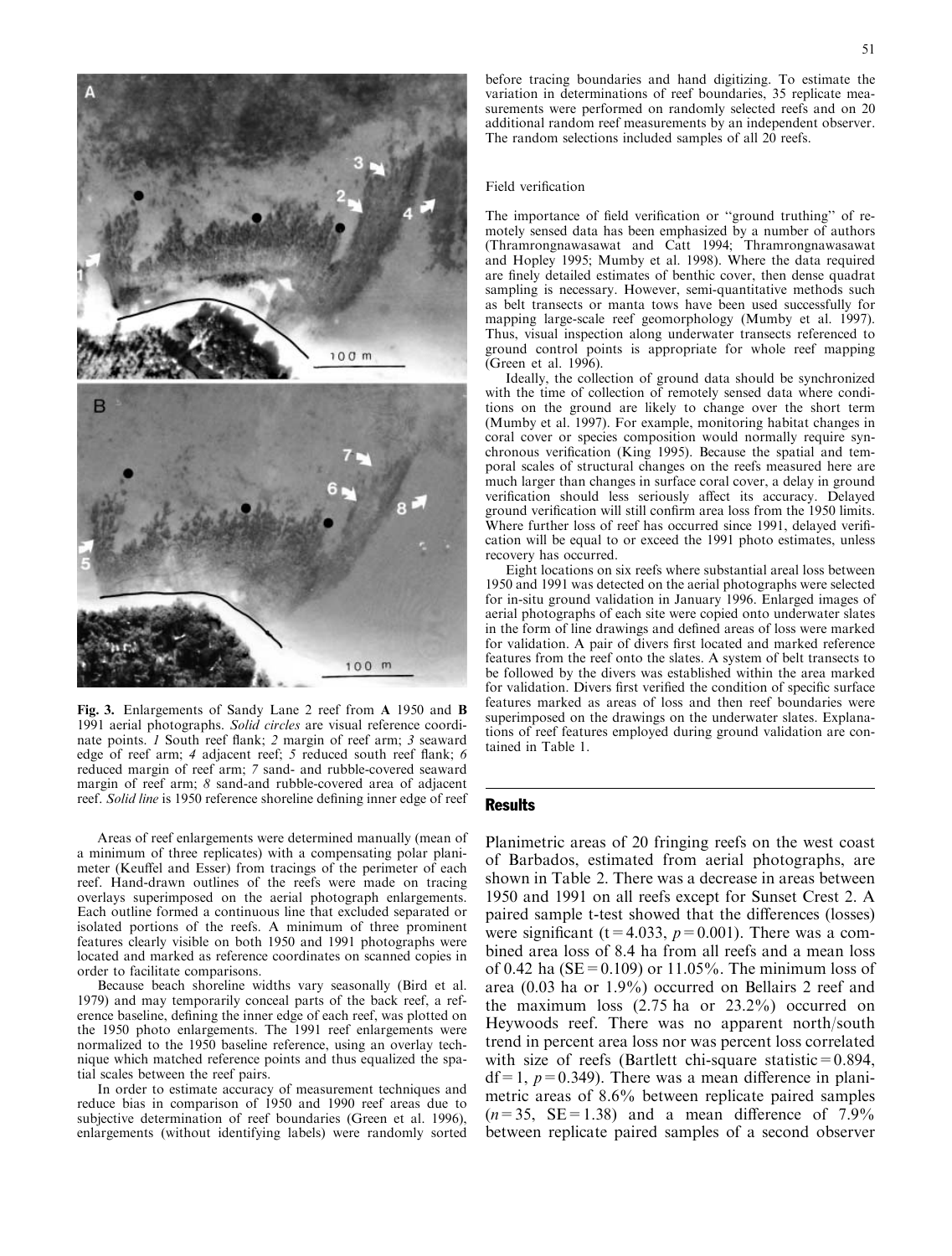

Fig. 3. Enlargements of Sandy Lane 2 reef from A 1950 and B 1991 aerial photographs. Solid circles are visual reference coordinate points. 1 South reef flank; 2 margin of reef arm; 3 seaward edge of reef arm; 4 adjacent reef; 5 reduced south reef flank; 6 reduced margin of reef arm; 7 sand- and rubble-covered seaward margin of reef arm; 8 sand-and rubble-covered area of adjacent reef. Solid line is 1950 reference shoreline defining inner edge of reef

Areas of reef enlargements were determined manually (mean of a minimum of three replicates) with a compensating polar planimeter (Keuffel and Esser) from tracings of the perimeter of each reef. Hand-drawn outlines of the reefs were made on tracing overlays superimposed on the aerial photograph enlargements. Each outline formed a continuous line that excluded separated or isolated portions of the reefs. A minimum of three prominent features clearly visible on both 1950 and 1991 photographs were located and marked as reference coordinates on scanned copies in order to facilitate comparisons.

Because beach shoreline widths vary seasonally (Bird et al. 1979) and may temporarily conceal parts of the back reef, a reference baseline, defining the inner edge of each reef, was plotted on the 1950 photo enlargements. The 1991 reef enlargements were normalized to the 1950 baseline reference, using an overlay technique which matched reference points and thus equalized the spatial scales between the reef pairs.

In order to estimate accuracy of measurement techniques and reduce bias in comparison of 1950 and 1990 reef areas due to subjective determination of reef boundaries (Green et al. 1996), enlargements (without identifying labels) were randomly sorted

before tracing boundaries and hand digitizing. To estimate the variation in determinations of reef boundaries, 35 replicate measurements were performed on randomly selected reefs and on 20 additional random reef measurements by an independent observer. The random selections included samples of all 20 reefs.

#### Field verification

The importance of field verification or ''ground truthing'' of remotely sensed data has been emphasized by a number of authors (Thramrongnawasawat and Catt 1994; Thramrongnawasawat and Hopley 1995; Mumby et al. 1998). Where the data required are finely detailed estimates of benthic cover, then dense quadrat sampling is necessary. However, semi-quantitative methods such as belt transects or manta tows have been used successfully for mapping large-scale reef geomorphology (Mumby et al. 1997). Thus, visual inspection along underwater transects referenced to ground control points is appropriate for whole reef mapping (Green et al. 1996).

Ideally, the collection of ground data should be synchronized with the time of collection of remotely sensed data where conditions on the ground are likely to change over the short term (Mumby et al. 1997). For example, monitoring habitat changes in coral cover or species composition would normally require synchronous verification (King 1995). Because the spatial and temporal scales of structural changes on the reefs measured here are much larger than changes in surface coral cover, a delay in ground verification should less seriously affect its accuracy. Delayed ground verification will still confirm area loss from the 1950 limits. Where further loss of reef has occurred since 1991, delayed verification will be equal to or exceed the 1991 photo estimates, unless recovery has occurred.

Eight locations on six reefs where substantial areal loss between 1950 and 1991 was detected on the aerial photographs were selected for in-situ ground validation in January 1996. Enlarged images of aerial photographs of each site were copied onto underwater slates in the form of line drawings and defined areas of loss were marked for validation. A pair of divers first located and marked reference features from the reef onto the slates. A system of belt transects to be followed by the divers was established within the area marked for validation. Divers first verified the condition of specific surface features marked as areas of loss and then reef boundaries were superimposed on the drawings on the underwater slates. Explanations of reef features employed during ground validation are contained in Table 1.

#### **Results**

Planimetric areas of 20 fringing reefs on the west coast of Barbados, estimated from aerial photographs, are shown in Table 2. There was a decrease in areas between 1950 and 1991 on all reefs except for Sunset Crest 2. A paired sample t-test showed that the differences (losses) were significant (t=4.033,  $p=0.001$ ). There was a combined area loss of 8.4 ha from all reefs and a mean loss of 0.42 ha ( $SE = 0.109$ ) or 11.05%. The minimum loss of area (0.03 ha or 1.9%) occurred on Bellairs 2 reef and the maximum loss (2.75 ha or 23.2%) occurred on Heywoods reef. There was no apparent north/south trend in percent area loss nor was percent loss correlated with size of reefs (Bartlett chi-square statistic= $0.894$ ,  $df=1$ ,  $p=0.349$ ). There was a mean difference in planimetric areas of 8.6% between replicate paired samples  $(n=35, \text{ SE}=1.38)$  and a mean difference of 7.9% between replicate paired samples of a second observer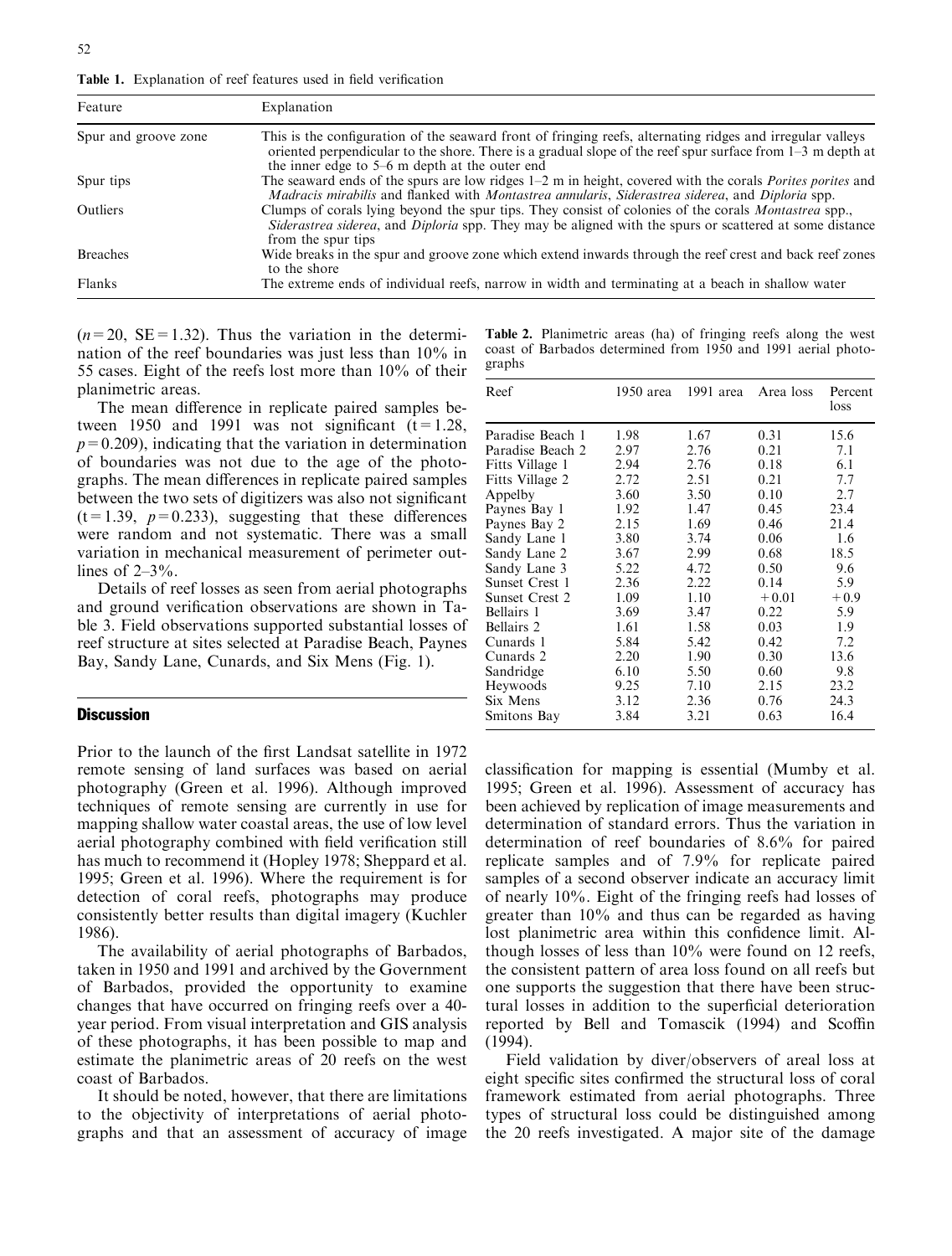Table 1. Explanation of reef features used in field verification

| Feature              | Explanation                                                                                                                                                                                                                                                                  |  |
|----------------------|------------------------------------------------------------------------------------------------------------------------------------------------------------------------------------------------------------------------------------------------------------------------------|--|
| Spur and groove zone | This is the configuration of the seaward front of fringing reefs, alternating ridges and irregular valleys<br>oriented perpendicular to the shore. There is a gradual slope of the reef spur surface from $1-3$ m depth at<br>the inner edge to 5–6 m depth at the outer end |  |
| Spur tips            | The seaward ends of the spurs are low ridges $1-2$ m in height, covered with the corals <i>Porites porites</i> and<br><i>Madracis mirabilis</i> and flanked with <i>Montastrea annularis, Siderastrea siderea, and Diploria spp.</i>                                         |  |
| Outliers             | Clumps of corals lying beyond the spur tips. They consist of colonies of the corals Montastrea spp.,<br>Siderastrea siderea, and Diploria spp. They may be aligned with the spurs or scattered at some distance<br>from the spur tips                                        |  |
| <b>Breaches</b>      | Wide breaks in the spur and groove zone which extend inwards through the reef crest and back reef zones<br>to the shore                                                                                                                                                      |  |
| Flanks               | The extreme ends of individual reefs, narrow in width and terminating at a beach in shallow water                                                                                                                                                                            |  |

 $(n=20, \text{ SE} = 1.32)$ . Thus the variation in the determination of the reef boundaries was just less than 10% in 55 cases. Eight of the reefs lost more than 10% of their planimetric areas.

The mean difference in replicate paired samples between 1950 and 1991 was not significant  $(t=1.28$ ,  $p=0.209$ ), indicating that the variation in determination of boundaries was not due to the age of the photographs. The mean differences in replicate paired samples between the two sets of digitizers was also not significant  $(t=1.39, p=0.233)$ , suggesting that these differences were random and not systematic. There was a small variation in mechanical measurement of perimeter outlines of  $2-3\%$ .

Details of reef losses as seen from aerial photographs and ground verification observations are shown in Table 3. Field observations supported substantial losses of reef structure at sites selected at Paradise Beach, Paynes Bay, Sandy Lane, Cunards, and Six Mens (Fig. 1).

## **Discussion**

Prior to the launch of the first Landsat satellite in 1972 remote sensing of land surfaces was based on aerial photography (Green et al. 1996). Although improved techniques of remote sensing are currently in use for mapping shallow water coastal areas, the use of low level aerial photography combined with field verification still has much to recommend it (Hopley 1978; Sheppard et al. 1995; Green et al. 1996). Where the requirement is for detection of coral reefs, photographs may produce consistently better results than digital imagery (Kuchler 1986).

The availability of aerial photographs of Barbados, taken in 1950 and 1991 and archived by the Government of Barbados, provided the opportunity to examine changes that have occurred on fringing reefs over a 40 year period. From visual interpretation and GIS analysis of these photographs, it has been possible to map and estimate the planimetric areas of 20 reefs on the west coast of Barbados.

It should be noted, however, that there are limitations to the objectivity of interpretations of aerial photographs and that an assessment of accuracy of image Table 2. Planimetric areas (ha) of fringing reefs along the west coast of Barbados determined from 1950 and 1991 aerial photographs

| Reef                  | 1950 area | $1991$ area | Area loss | Percent<br>loss |
|-----------------------|-----------|-------------|-----------|-----------------|
| Paradise Beach 1      | 1.98      | 1.67        | 0.31      | 15.6            |
| Paradise Beach 2      | 2.97      | 2.76        | 0.21      | 7.1             |
| Fitts Village 1       | 2.94      | 2.76        | 0.18      | 6.1             |
| Fitts Village 2       | 2.72      | 2.51        | 0.21      | 7.7             |
| Appelby               | 3.60      | 3.50        | 0.10      | 2.7             |
| Paynes Bay 1          | 1.92      | 1.47        | 0.45      | 23.4            |
| Paynes Bay 2          | 2.15      | 1.69        | 0.46      | 21.4            |
| Sandy Lane 1          | 3.80      | 3.74        | 0.06      | 1.6             |
| Sandy Lane 2          | 3.67      | 2.99        | 0.68      | 18.5            |
| Sandy Lane 3          | 5.22      | 4.72        | 0.50      | 9.6             |
| Sunset Crest 1        | 2.36      | 2.22        | 0.14      | 5.9             |
| <b>Sunset Crest 2</b> | 1.09      | 1.10        | $+0.01$   | $+0.9$          |
| Bellairs 1            | 3.69      | 3.47        | 0.22      | 5.9             |
| Bellairs 2            | 1.61      | 1.58        | 0.03      | 1.9             |
| Cunards 1             | 5.84      | 5.42        | 0.42      | 7.2             |
| Cunards 2             | 2.20      | 1.90        | 0.30      | 13.6            |
| Sandridge             | 6.10      | 5.50        | 0.60      | 9.8             |
| Heywoods              | 9.25      | 7.10        | 2.15      | 23.2            |
| Six Mens              | 3.12      | 2.36        | 0.76      | 24.3            |
| Smitons Bay           | 3.84      | 3.21        | 0.63      | 16.4            |

classification for mapping is essential (Mumby et al. 1995; Green et al. 1996). Assessment of accuracy has been achieved by replication of image measurements and determination of standard errors. Thus the variation in determination of reef boundaries of 8.6% for paired replicate samples and of 7.9% for replicate paired samples of a second observer indicate an accuracy limit of nearly 10%. Eight of the fringing reefs had losses of greater than 10% and thus can be regarded as having lost planimetric area within this confidence limit. Although losses of less than 10% were found on 12 reefs, the consistent pattern of area loss found on all reefs but one supports the suggestion that there have been structural losses in addition to the superficial deterioration reported by Bell and Tomascik (1994) and Scoffin (1994).

Field validation by diver/observers of areal loss at eight specific sites confirmed the structural loss of coral framework estimated from aerial photographs. Three types of structural loss could be distinguished among the 20 reefs investigated. A major site of the damage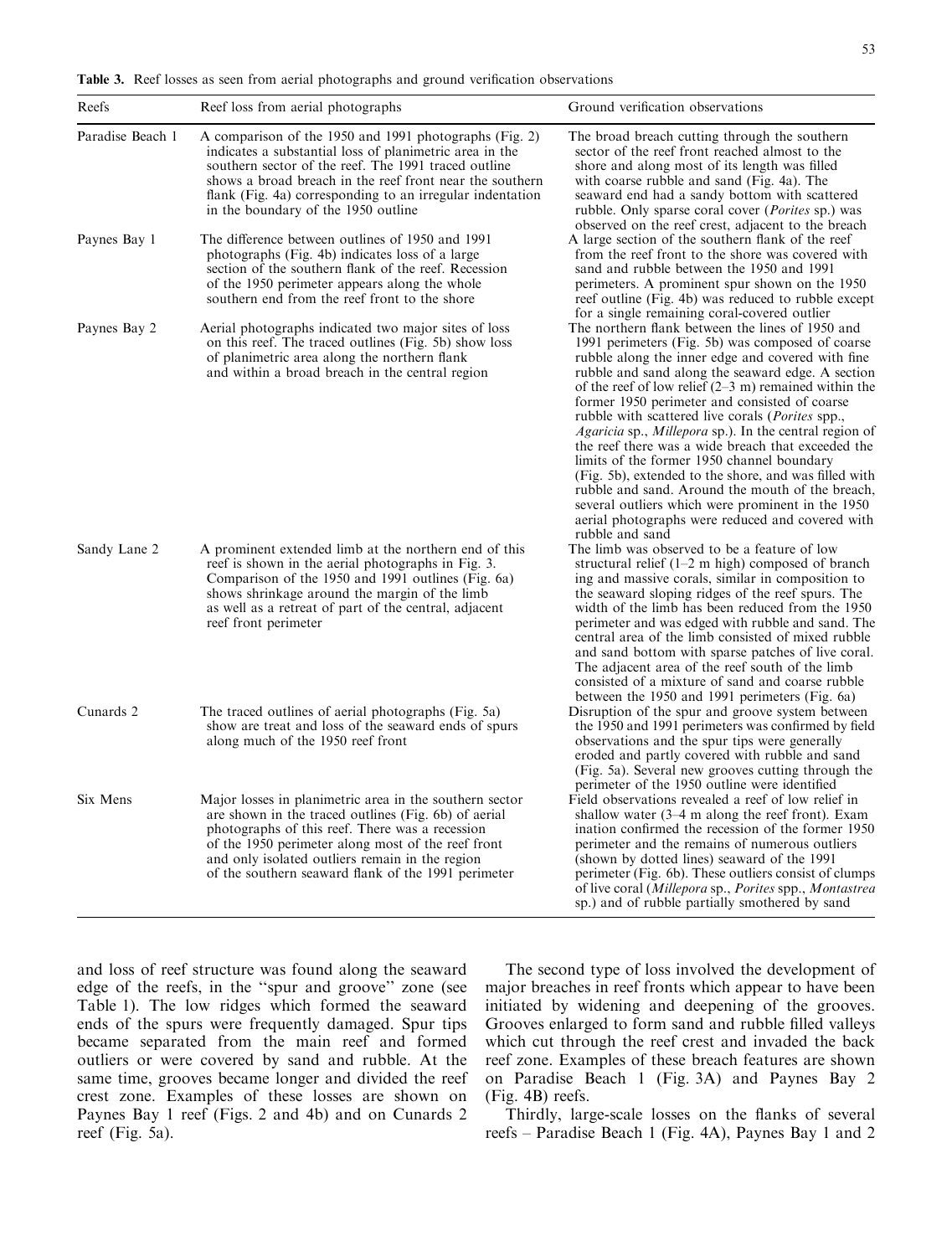Table 3. Reef losses as seen from aerial photographs and ground verification observations

indicates a substantial loss of planimetric area in the southern sector of the reef. The 1991 traced outline shows a broad breach in the reef front near the southern flank (Fig. 4a) corresponding to an irregular indentation

photographs (Fig. 4b) indicates loss of a large

Paradise Beach 1 A comparison of the 1950 and 1991 photographs (Fig. 2)

in the boundary of the 1950 outline

Paynes Bay 1 The difference between outlines of 1950 and 1991

A large section of the southern flank of the reef from the reef front to the shore was covered with sand and rubble between the 1950 and 1991 perimeters. A prominent spur shown on the 1950 reef outline (Fig. 4b) was reduced to rubble except

|              | section of the southern flank of the reef. Recession<br>of the 1950 perimeter appears along the whole<br>southern end from the reef front to the shore                                                                                                                                                                             | sand and rubble between the 1950 and 1991<br>perimeters. A prominent spur shown on the 1950<br>reef outline (Fig. 4b) was reduced to rubble except<br>for a single remaining coral-covered outlier                                                                                                                                                                                                                                                                                                                                                                                                                                                                                                                                                                                                                  |
|--------------|------------------------------------------------------------------------------------------------------------------------------------------------------------------------------------------------------------------------------------------------------------------------------------------------------------------------------------|---------------------------------------------------------------------------------------------------------------------------------------------------------------------------------------------------------------------------------------------------------------------------------------------------------------------------------------------------------------------------------------------------------------------------------------------------------------------------------------------------------------------------------------------------------------------------------------------------------------------------------------------------------------------------------------------------------------------------------------------------------------------------------------------------------------------|
| Paynes Bay 2 | Aerial photographs indicated two major sites of loss<br>on this reef. The traced outlines (Fig. 5b) show loss<br>of planimetric area along the northern flank<br>and within a broad breach in the central region                                                                                                                   | The northern flank between the lines of 1950 and<br>1991 perimeters (Fig. 5b) was composed of coarse<br>rubble along the inner edge and covered with fine<br>rubble and sand along the seaward edge. A section<br>of the reef of low relief $(2-3 \text{ m})$ remained within the<br>former 1950 perimeter and consisted of coarse<br>rubble with scattered live corals ( <i>Porites</i> spp.,<br><i>Agaricia</i> sp., <i>Millepora</i> sp.). In the central region of<br>the reef there was a wide breach that exceeded the<br>limits of the former 1950 channel boundary<br>(Fig. 5b), extended to the shore, and was filled with<br>rubble and sand. Around the mouth of the breach,<br>several outliers which were prominent in the 1950<br>aerial photographs were reduced and covered with<br>rubble and sand |
| Sandy Lane 2 | A prominent extended limb at the northern end of this<br>reef is shown in the aerial photographs in Fig. 3.<br>Comparison of the 1950 and 1991 outlines (Fig. 6a)<br>shows shrinkage around the margin of the limb<br>as well as a retreat of part of the central, adjacent<br>reef front perimeter                                | The limb was observed to be a feature of low<br>structural relief $(1-2 \text{ m high})$ composed of branch<br>ing and massive corals, similar in composition to<br>the seaward sloping ridges of the reef spurs. The<br>width of the limb has been reduced from the 1950<br>perimeter and was edged with rubble and sand. The<br>central area of the limb consisted of mixed rubble<br>and sand bottom with sparse patches of live coral.<br>The adjacent area of the reef south of the limb<br>consisted of a mixture of sand and coarse rubble<br>between the 1950 and 1991 perimeters (Fig. 6a)                                                                                                                                                                                                                 |
| Cunards 2    | The traced outlines of aerial photographs (Fig. 5a)<br>show are treat and loss of the seaward ends of spurs<br>along much of the 1950 reef front                                                                                                                                                                                   | Disruption of the spur and groove system between<br>the 1950 and 1991 perimeters was confirmed by field<br>observations and the spur tips were generally<br>eroded and partly covered with rubble and sand<br>(Fig. 5a). Several new grooves cutting through the<br>perimeter of the 1950 outline were identified                                                                                                                                                                                                                                                                                                                                                                                                                                                                                                   |
| Six Mens     | Major losses in planimetric area in the southern sector<br>are shown in the traced outlines (Fig. 6b) of aerial<br>photographs of this reef. There was a recession<br>of the 1950 perimeter along most of the reef front<br>and only isolated outliers remain in the region<br>of the southern seaward flank of the 1991 perimeter | Field observations revealed a reef of low relief in<br>shallow water $(3-4 \text{ m along the reef front})$ . Exam<br>ination confirmed the recession of the former 1950<br>perimeter and the remains of numerous outliers<br>(shown by dotted lines) seaward of the 1991<br>perimeter (Fig. 6b). These outliers consist of clumps<br>of live coral (Millepora sp., Porites spp., Montastrea<br>sp.) and of rubble partially smothered by sand                                                                                                                                                                                                                                                                                                                                                                      |

and loss of reef structure was found along the seaward edge of the reefs, in the ''spur and groove'' zone (see Table 1). The low ridges which formed the seaward ends of the spurs were frequently damaged. Spur tips became separated from the main reef and formed outliers or were covered by sand and rubble. At the same time, grooves became longer and divided the reef crest zone. Examples of these losses are shown on Paynes Bay 1 reef (Figs. 2 and 4b) and on Cunards 2 reef (Fig. 5a).

The second type of loss involved the development of major breaches in reef fronts which appear to have been initiated by widening and deepening of the grooves. Grooves enlarged to form sand and rubble filled valleys which cut through the reef crest and invaded the back reef zone. Examples of these breach features are shown on Paradise Beach 1 (Fig. 3A) and Paynes Bay 2 (Fig. 4B) reefs.

Thirdly, large-scale losses on the flanks of several reefs – Paradise Beach 1 (Fig. 4A), Paynes Bay 1 and 2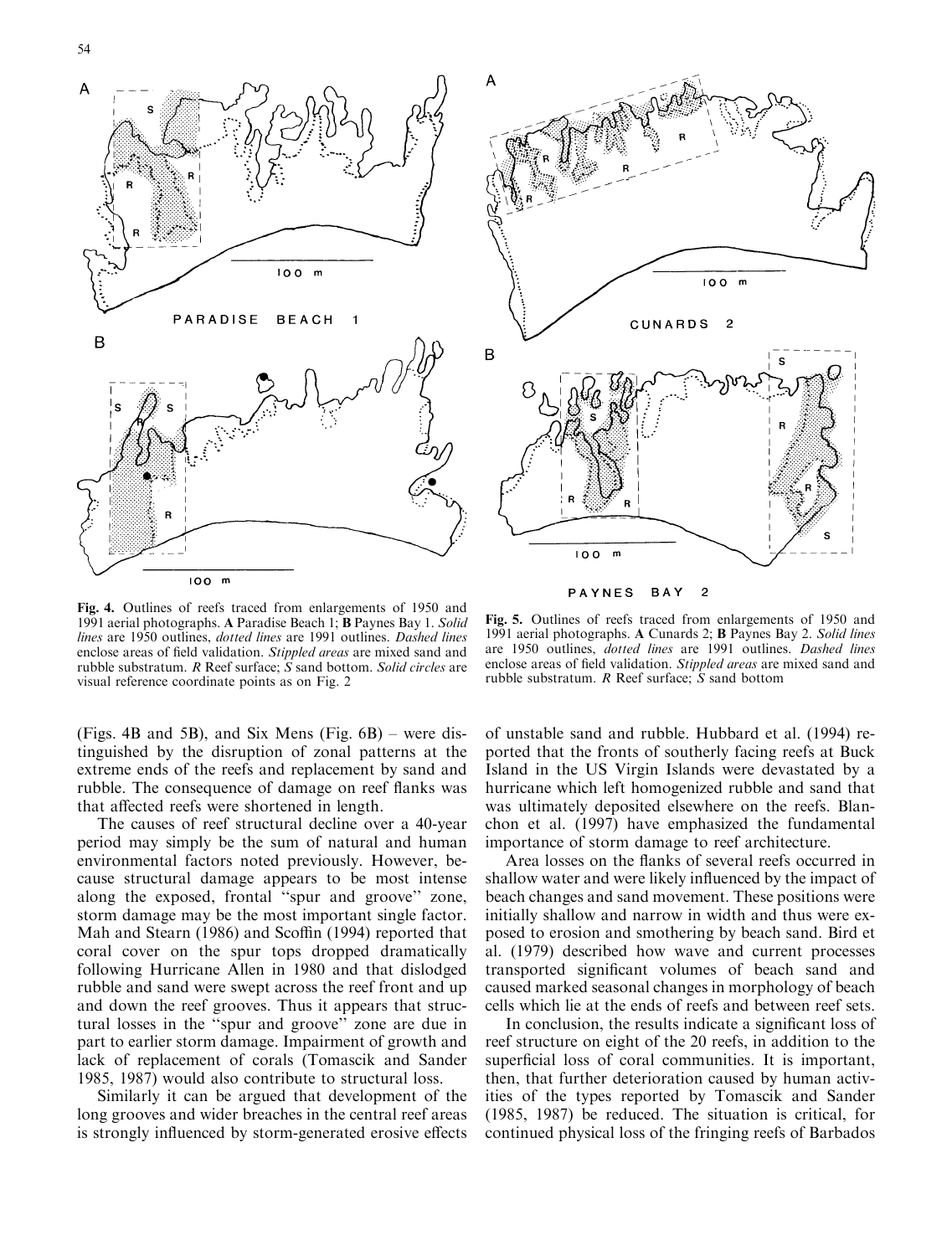



Fig. 4. Outlines of reefs traced from enlargements of 1950 and 1991 aerial photographs. A Paradise Beach 1; B Paynes Bay 1. Solid lines are 1950 outlines, dotted lines are 1991 outlines. Dashed lines enclose areas of field validation. Stippled areas are mixed sand and rubble substratum. R Reef surface; S sand bottom. Solid circles are visual reference coordinate points as on Fig. 2

PAYNES BAY  $\overline{c}$ 

Fig. 5. Outlines of reefs traced from enlargements of 1950 and 1991 aerial photographs. A Cunards 2; B Paynes Bay 2. Solid lines are 1950 outlines, dotted lines are 1991 outlines. Dashed lines enclose areas of field validation. Stippled areas are mixed sand and rubble substratum. R Reef surface; S sand bottom

(Figs. 4B and 5B), and Six Mens (Fig. 6B) – were distinguished by the disruption of zonal patterns at the extreme ends of the reefs and replacement by sand and rubble. The consequence of damage on reef flanks was that affected reefs were shortened in length.

The causes of reef structural decline over a 40-year period may simply be the sum of natural and human environmental factors noted previously. However, because structural damage appears to be most intense along the exposed, frontal ''spur and groove'' zone, storm damage may be the most important single factor. Mah and Stearn (1986) and Scoffin (1994) reported that coral cover on the spur tops dropped dramatically following Hurricane Allen in 1980 and that dislodged rubble and sand were swept across the reef front and up and down the reef grooves. Thus it appears that structural losses in the ''spur and groove'' zone are due in part to earlier storm damage. Impairment of growth and lack of replacement of corals (Tomascik and Sander 1985, 1987) would also contribute to structural loss.

Similarly it can be argued that development of the long grooves and wider breaches in the central reef areas is strongly influenced by storm-generated erosive effects

of unstable sand and rubble. Hubbard et al. (1994) reported that the fronts of southerly facing reefs at Buck Island in the US Virgin Islands were devastated by a hurricane which left homogenized rubble and sand that was ultimately deposited elsewhere on the reefs. Blanchon et al. (1997) have emphasized the fundamental importance of storm damage to reef architecture.

Area losses on the flanks of several reefs occurred in shallow water and were likely influenced by the impact of beach changes and sand movement. These positions were initially shallow and narrow in width and thus were exposed to erosion and smothering by beach sand. Bird et al. (1979) described how wave and current processes transported significant volumes of beach sand and caused marked seasonal changes in morphology of beach cells which lie at the ends of reefs and between reef sets.

In conclusion, the results indicate a significant loss of reef structure on eight of the 20 reefs, in addition to the superficial loss of coral communities. It is important, then, that further deterioration caused by human activities of the types reported by Tomascik and Sander (1985, 1987) be reduced. The situation is critical, for continued physical loss of the fringing reefs of Barbados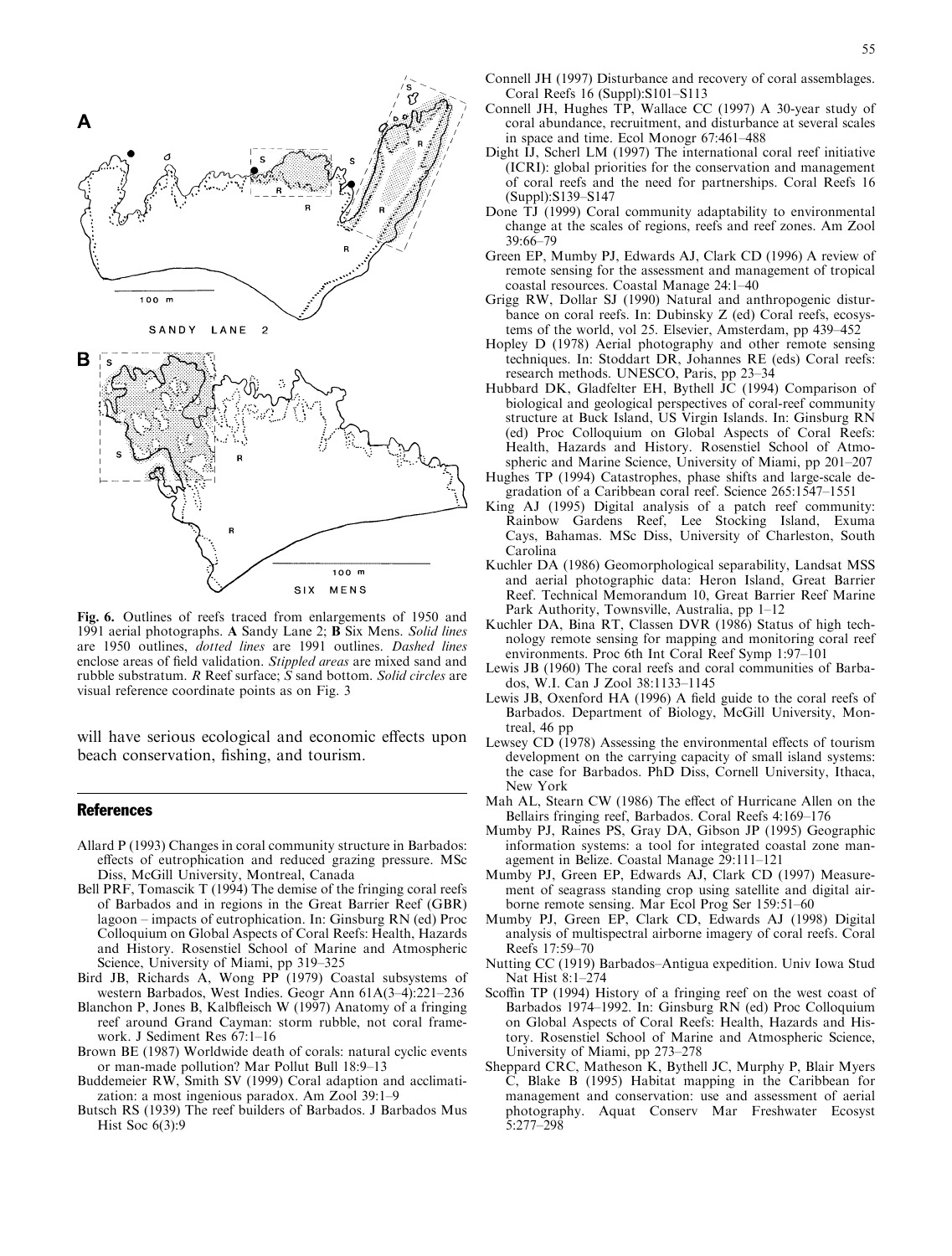

Fig. 6. Outlines of reefs traced from enlargements of 1950 and 1991 aerial photographs. A Sandy Lane 2; B Six Mens. Solid lines are 1950 outlines, dotted lines are 1991 outlines. Dashed lines enclose areas of field validation. Stippled areas are mixed sand and rubble substratum. R Reef surface; S sand bottom. Solid circles are visual reference coordinate points as on Fig. 3

will have serious ecological and economic effects upon beach conservation, fishing, and tourism.

### **References**

- Allard P (1993) Changes in coral community structure in Barbados: effects of eutrophication and reduced grazing pressure. MSc Diss, McGill University, Montreal, Canada
- Bell PRF, Tomascik T (1994) The demise of the fringing coral reefs of Barbados and in regions in the Great Barrier Reef (GBR) lagoon – impacts of eutrophication. In: Ginsburg RN (ed) Proc Colloquium on Global Aspects of Coral Reefs: Health, Hazards and History. Rosenstiel School of Marine and Atmospheric Science, University of Miami, pp 319–325
- Bird JB, Richards A, Wong PP (1979) Coastal subsystems of western Barbados, West Indies. Geogr Ann 61A(3–4):221–236
- Blanchon P, Jones B, Kalbfleisch W (1997) Anatomy of a fringing reef around Grand Cayman: storm rubble, not coral framework. J Sediment Res 67:1–16
- Brown BE (1987) Worldwide death of corals: natural cyclic events or man-made pollution? Mar Pollut Bull 18:9–13
- Buddemeier RW, Smith SV (1999) Coral adaption and acclimatization: a most ingenious paradox. Am Zool 39:1–9
- Butsch RS(1939) The reef builders of Barbados. J Barbados Mus Hist Soc 6(3):9
- Connell JH (1997) Disturbance and recovery of coral assemblages. Coral Reefs 16 (Suppl):S101–S113
- Connell JH, Hughes TP, Wallace CC (1997) A 30-year study of coral abundance, recruitment, and disturbance at several scales in space and time. Ecol Monogr 67:461–488
- Dight IJ, Scherl LM (1997) The international coral reef initiative (ICRI): global priorities for the conservation and management of coral reefs and the need for partnerships. Coral Reefs 16 (Suppl):S139–S147
- Done TJ (1999) Coral community adaptability to environmental change at the scales of regions, reefs and reef zones. Am Zool 39:66–79
- Green EP, Mumby PJ, Edwards AJ, Clark CD (1996) A review of remote sensing for the assessment and management of tropical coastal resources. Coastal Manage 24:1–40
- Grigg RW, Dollar SJ (1990) Natural and anthropogenic disturbance on coral reefs. In: Dubinsky Z (ed) Coral reefs, ecosystems of the world, vol 25. Elsevier, Amsterdam, pp 439–452
- Hopley D (1978) Aerial photography and other remote sensing techniques. In: Stoddart DR, Johannes RE (eds) Coral reefs: research methods. UNESCO, Paris, pp 23–34
- Hubbard DK, Gladfelter EH, Bythell JC (1994) Comparison of biological and geological perspectives of coral-reef community structure at Buck Island, US Virgin Islands. In: Ginsburg RN (ed) Proc Colloquium on Global Aspects of Coral Reefs: Health, Hazards and History. Rosenstiel School of Atmospheric and Marine Science, University of Miami, pp 201–207
- Hughes TP (1994) Catastrophes, phase shifts and large-scale degradation of a Caribbean coral reef. Science 265:1547–1551
- King AJ (1995) Digital analysis of a patch reef community: Rainbow Gardens Reef, Lee Stocking Island, Exuma Cays, Bahamas. MSc Diss, University of Charleston, South Carolina
- Kuchler DA (1986) Geomorphological separability, Landsat MSS and aerial photographic data: Heron Island, Great Barrier Reef. Technical Memorandum 10, Great Barrier Reef Marine Park Authority, Townsville, Australia, pp 1–12
- Kuchler DA, Bina RT, Classen DVR (1986) Status of high technology remote sensing for mapping and monitoring coral reef environments. Proc 6th Int Coral Reef Symp 1:97–101
- Lewis JB (1960) The coral reefs and coral communities of Barbados, W.I. Can J Zool 38:1133–1145
- Lewis JB, Oxenford HA (1996) A field guide to the coral reefs of Barbados. Department of Biology, McGill University, Montreal, 46 pp
- Lewsey CD  $(1978)$  Assessing the environmental effects of tourism development on the carrying capacity of small island systems: the case for Barbados. PhD Diss, Cornell University, Ithaca, New York
- Mah AL, Stearn CW (1986) The effect of Hurricane Allen on the Bellairs fringing reef, Barbados. Coral Reefs 4:169–176
- Mumby PJ, Raines PS, Gray DA, Gibson JP (1995) Geographic information systems: a tool for integrated coastal zone management in Belize. Coastal Manage 29:111–121
- Mumby PJ, Green EP, Edwards AJ, Clark CD (1997) Measurement of seagrass standing crop using satellite and digital airborne remote sensing. Mar Ecol Prog Ser 159:51–60
- Mumby PJ, Green EP, Clark CD, Edwards AJ (1998) Digital analysis of multispectral airborne imagery of coral reefs. Coral Reefs 17:59–70
- Nutting CC (1919) Barbados–Antigua expedition. Univ Iowa Stud Nat Hist 8:1–274
- Scoffin TP (1994) History of a fringing reef on the west coast of Barbados 1974–1992. In: Ginsburg RN (ed) Proc Colloquium on Global Aspects of Coral Reefs: Health, Hazards and History. Rosenstiel School of Marine and Atmospheric Science, University of Miami, pp 273–278
- Sheppard CRC, Matheson K, Bythell JC, Murphy P, Blair Myers C, Blake B (1995) Habitat mapping in the Caribbean for management and conservation: use and assessment of aerial photography. Aquat Conserv Mar Freshwater Ecosyst 5:277–298